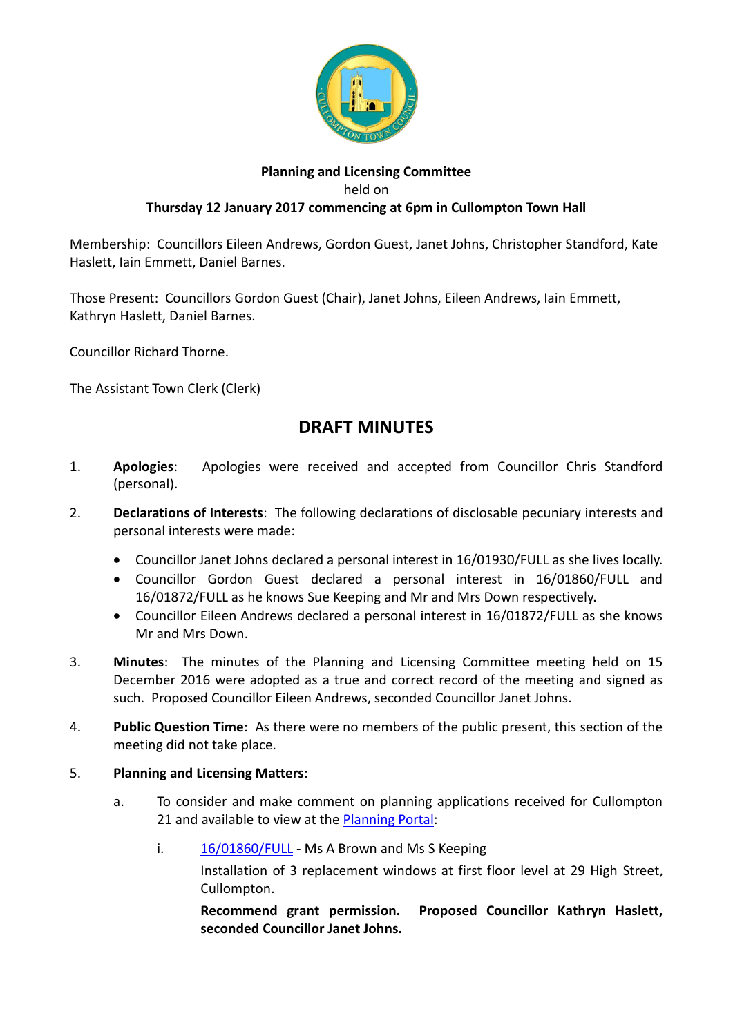

# **Planning and Licensing Committee** held on **Thursday 12 January 2017 commencing at 6pm in Cullompton Town Hall**

Membership: Councillors Eileen Andrews, Gordon Guest, Janet Johns, Christopher Standford, Kate Haslett, Iain Emmett, Daniel Barnes.

Those Present: Councillors Gordon Guest (Chair), Janet Johns, Eileen Andrews, Iain Emmett, Kathryn Haslett, Daniel Barnes.

Councillor Richard Thorne.

The Assistant Town Clerk (Clerk)

# **DRAFT MINUTES**

- 1. **Apologies**: Apologies were received and accepted from Councillor Chris Standford (personal).
- 2. **Declarations of Interests**: The following declarations of disclosable pecuniary interests and personal interests were made:
	- Councillor Janet Johns declared a personal interest in 16/01930/FULL as she lives locally.
	- Councillor Gordon Guest declared a personal interest in 16/01860/FULL and 16/01872/FULL as he knows Sue Keeping and Mr and Mrs Down respectively.
	- Councillor Eileen Andrews declared a personal interest in 16/01872/FULL as she knows Mr and Mrs Down.
- 3. **Minutes**: The minutes of the Planning and Licensing Committee meeting held on 15 December 2016 were adopted as a true and correct record of the meeting and signed as such. Proposed Councillor Eileen Andrews, seconded Councillor Janet Johns.
- 4. **Public Question Time**: As there were no members of the public present, this section of the meeting did not take place.

## 5. **Planning and Licensing Matters**:

- a. To consider and make comment on planning applications received for Cullompton 21 and available to view at the [Planning Portal:](https://planning.middevon.gov.uk/online-applications/applicationDetails.do?activeTab=documents&keyVal=OG45QSKS07T00)
	- i. [16/01860/FULL](https://planning.middevon.gov.uk/online-applications/applicationDetails.do?activeTab=documents&keyVal=OHPFDRKS05K00) Ms A Brown and Ms S Keeping

Installation of 3 replacement windows at first floor level at 29 High Street, Cullompton.

**Recommend grant permission. Proposed Councillor Kathryn Haslett, seconded Councillor Janet Johns.**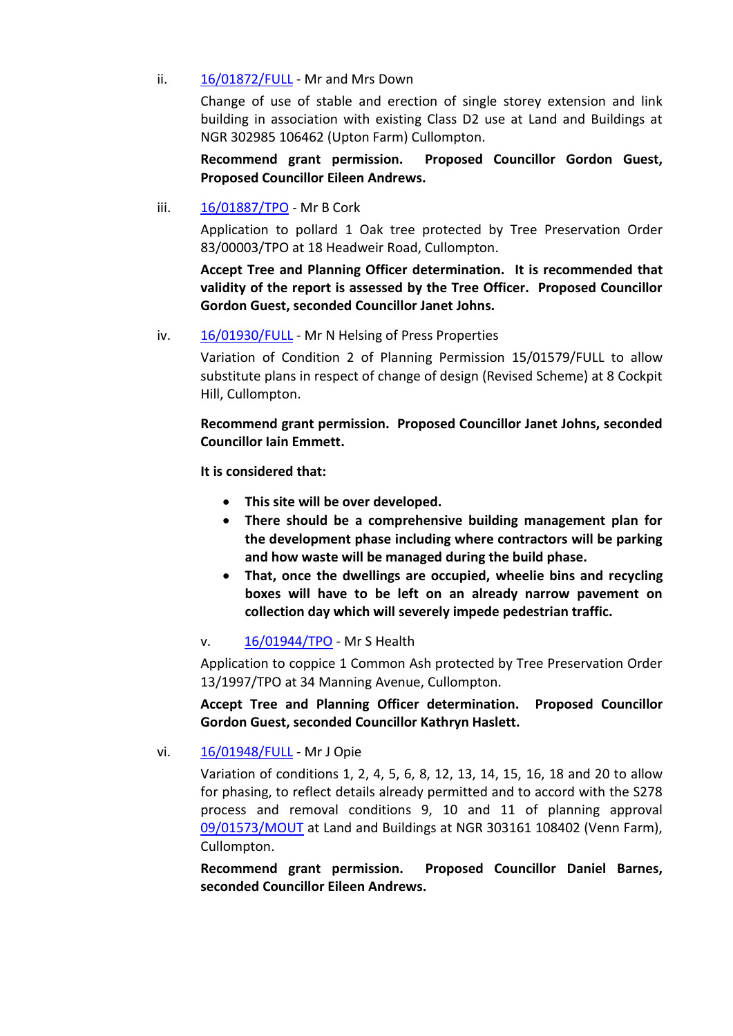#### ii. [16/01872/FULL](https://planning.middevon.gov.uk/online-applications/applicationDetails.do?activeTab=documents&keyVal=OHQ168KS05K00) - Mr and Mrs Down

Change of use of stable and erection of single storey extension and link building in association with existing Class D2 use at Land and Buildings at NGR 302985 106462 (Upton Farm) Cullompton.

**Recommend grant permission. Proposed Councillor Gordon Guest, Proposed Councillor Eileen Andrews.**

iii. [16/01887/TPO](https://planning.middevon.gov.uk/online-applications/applicationDetails.do?activeTab=documents&keyVal=OHTN04KS02T00) - Mr B Cork

Application to pollard 1 Oak tree protected by Tree Preservation Order 83/00003/TPO at 18 Headweir Road, Cullompton.

**Accept Tree and Planning Officer determination. It is recommended that validity of the report is assessed by the Tree Officer. Proposed Councillor Gordon Guest, seconded Councillor Janet Johns.**

iv. [16/01930/FULL](https://planning.middevon.gov.uk/online-applications/applicationDetails.do?activeTab=documents&keyVal=OI9ZEUKS07T00) - Mr N Helsing of Press Properties

Variation of Condition 2 of Planning Permission 15/01579/FULL to allow substitute plans in respect of change of design (Revised Scheme) at 8 Cockpit Hill, Cullompton.

**Recommend grant permission. Proposed Councillor Janet Johns, seconded Councillor Iain Emmett.**

**It is considered that:**

- **This site will be over developed.**
- **There should be a comprehensive building management plan for the development phase including where contractors will be parking and how waste will be managed during the build phase.**
- **That, once the dwellings are occupied, wheelie bins and recycling boxes will have to be left on an already narrow pavement on collection day which will severely impede pedestrian traffic.**

#### v. [16/01944/TPO](https://planning.middevon.gov.uk/online-applications/applicationDetails.do?activeTab=documents&keyVal=OIHCDXKS02T00) - Mr S Health

Application to coppice 1 Common Ash protected by Tree Preservation Order 13/1997/TPO at 34 Manning Avenue, Cullompton.

**Accept Tree and Planning Officer determination. Proposed Councillor Gordon Guest, seconded Councillor Kathryn Haslett.**

### vi. [16/01948/FULL](https://planning.middevon.gov.uk/online-applications/applicationDetails.do?activeTab=documents&keyVal=OIHJZ6KS07T00) - Mr J Opie

Variation of conditions 1, 2, 4, 5, 6, 8, 12, 13, 14, 15, 16, 18 and 20 to allow for phasing, to reflect details already permitted and to accord with the S278 process and removal conditions 9, 10 and 11 of planning approval [09/01573/MOUT](https://planning.middevon.gov.uk/online-applications/applicationDetails.do?activeTab=documents&keyVal=KRXB5MKS7D000) at Land and Buildings at NGR 303161 108402 (Venn Farm), Cullompton.

**Recommend grant permission. Proposed Councillor Daniel Barnes, seconded Councillor Eileen Andrews.**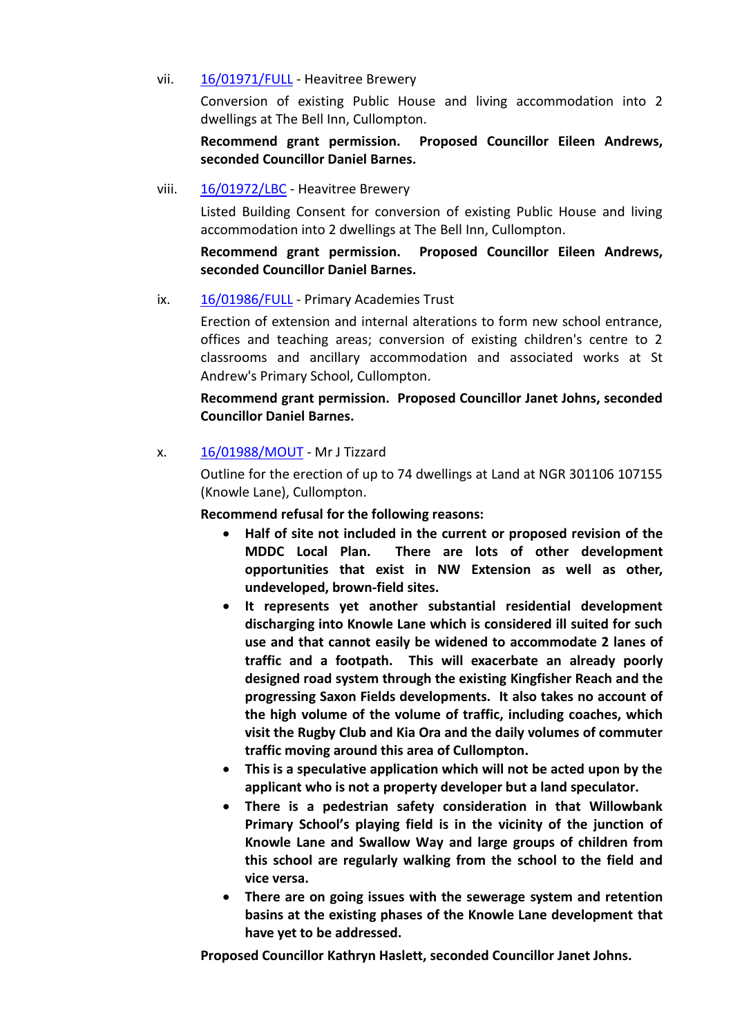#### vii. [16/01971/FULL](https://planning.middevon.gov.uk/online-applications/applicationDetails.do?activeTab=documents&keyVal=OIN25VKS02T00) - Heavitree Brewery

Conversion of existing Public House and living accommodation into 2 dwellings at The Bell Inn, Cullompton.

## **Recommend grant permission. Proposed Councillor Eileen Andrews, seconded Councillor Daniel Barnes.**

## viii. [16/01972/LBC](https://planning.middevon.gov.uk/online-applications/applicationDetails.do?activeTab=documents&keyVal=OIN3GDKS02T00) - Heavitree Brewery

Listed Building Consent for conversion of existing Public House and living accommodation into 2 dwellings at The Bell Inn, Cullompton.

**Recommend grant permission. Proposed Councillor Eileen Andrews, seconded Councillor Daniel Barnes.**

## ix. [16/01986/FULL](https://planning.middevon.gov.uk/online-applications/simpleSearchResults.do?action=firstPage) - Primary Academies Trust

Erection of extension and internal alterations to form new school entrance, offices and teaching areas; conversion of existing children's centre to 2 classrooms and ancillary accommodation and associated works at St Andrew's Primary School, Cullompton.

# **Recommend grant permission. Proposed Councillor Janet Johns, seconded Councillor Daniel Barnes.**

## x. [16/01988/MOUT](https://planning.middevon.gov.uk/online-applications/applicationDetails.do?activeTab=documents&keyVal=OIXUB1KS02T00) - Mr J Tizzard

Outline for the erection of up to 74 dwellings at Land at NGR 301106 107155 (Knowle Lane), Cullompton.

### **Recommend refusal for the following reasons:**

- **Half of site not included in the current or proposed revision of the MDDC Local Plan. There are lots of other development opportunities that exist in NW Extension as well as other, undeveloped, brown-field sites.**
- **It represents yet another substantial residential development discharging into Knowle Lane which is considered ill suited for such use and that cannot easily be widened to accommodate 2 lanes of traffic and a footpath. This will exacerbate an already poorly designed road system through the existing Kingfisher Reach and the progressing Saxon Fields developments. It also takes no account of the high volume of the volume of traffic, including coaches, which visit the Rugby Club and Kia Ora and the daily volumes of commuter traffic moving around this area of Cullompton.**
- **This is a speculative application which will not be acted upon by the applicant who is not a property developer but a land speculator.**
- **There is a pedestrian safety consideration in that Willowbank Primary School's playing field is in the vicinity of the junction of Knowle Lane and Swallow Way and large groups of children from this school are regularly walking from the school to the field and vice versa.**
- **There are on going issues with the sewerage system and retention basins at the existing phases of the Knowle Lane development that have yet to be addressed.**

**Proposed Councillor Kathryn Haslett, seconded Councillor Janet Johns.**